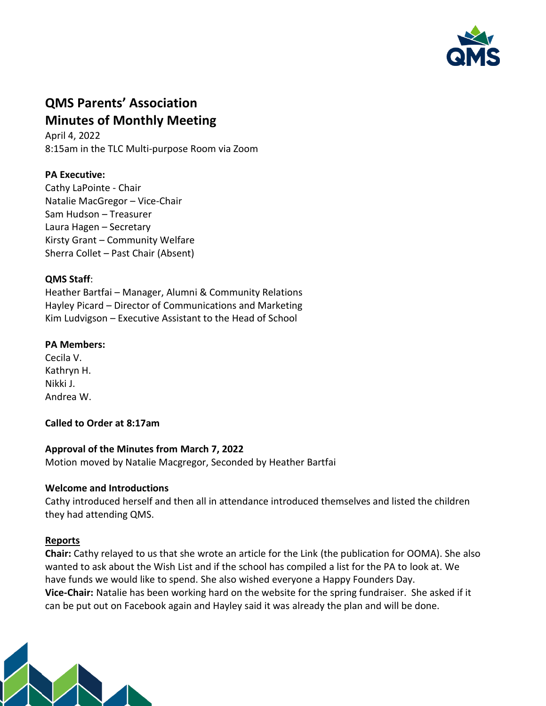

# **QMS Parents' Association Minutes of Monthly Meeting**

April 4, 2022 8:15am in the TLC Multi-purpose Room via Zoom

# **PA Executive:**

Cathy LaPointe - Chair Natalie MacGregor – Vice-Chair Sam Hudson – Treasurer Laura Hagen – Secretary Kirsty Grant – Community Welfare Sherra Collet – Past Chair (Absent)

### **QMS Staff**:

Heather Bartfai – Manager, Alumni & Community Relations Hayley Picard – Director of Communications and Marketing Kim Ludvigson – Executive Assistant to the Head of School

## **PA Members:**

Cecila V. Kathryn H. Nikki J. Andrea W.

## **Called to Order at 8:17am**

#### **Approval of the Minutes from March 7, 2022**

Motion moved by Natalie Macgregor, Seconded by Heather Bartfai

#### **Welcome and Introductions**

Cathy introduced herself and then all in attendance introduced themselves and listed the children they had attending QMS.

#### **Reports**

**Chair:** Cathy relayed to us that she wrote an article for the Link (the publication for OOMA). She also wanted to ask about the Wish List and if the school has compiled a list for the PA to look at. We have funds we would like to spend. She also wished everyone a Happy Founders Day. **Vice-Chair:** Natalie has been working hard on the website for the spring fundraiser. She asked if it can be put out on Facebook again and Hayley said it was already the plan and will be done.